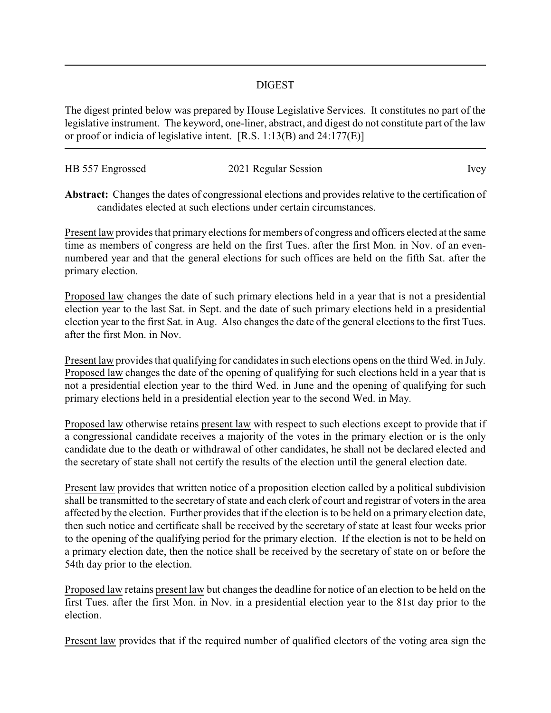## DIGEST

The digest printed below was prepared by House Legislative Services. It constitutes no part of the legislative instrument. The keyword, one-liner, abstract, and digest do not constitute part of the law or proof or indicia of legislative intent. [R.S. 1:13(B) and 24:177(E)]

| HB 557 Engrossed | 2021 Regular Session | Ivey |
|------------------|----------------------|------|
|                  |                      |      |

**Abstract:** Changes the dates of congressional elections and provides relative to the certification of candidates elected at such elections under certain circumstances.

Present law provides that primary elections for members of congress and officers elected at the same time as members of congress are held on the first Tues. after the first Mon. in Nov. of an evennumbered year and that the general elections for such offices are held on the fifth Sat. after the primary election.

Proposed law changes the date of such primary elections held in a year that is not a presidential election year to the last Sat. in Sept. and the date of such primary elections held in a presidential election year to the first Sat. in Aug. Also changes the date of the general elections to the first Tues. after the first Mon. in Nov.

Present law provides that qualifying for candidates in such elections opens on the third Wed. in July. Proposed law changes the date of the opening of qualifying for such elections held in a year that is not a presidential election year to the third Wed. in June and the opening of qualifying for such primary elections held in a presidential election year to the second Wed. in May.

Proposed law otherwise retains present law with respect to such elections except to provide that if a congressional candidate receives a majority of the votes in the primary election or is the only candidate due to the death or withdrawal of other candidates, he shall not be declared elected and the secretary of state shall not certify the results of the election until the general election date.

Present law provides that written notice of a proposition election called by a political subdivision shall be transmitted to the secretary of state and each clerk of court and registrar of voters in the area affected by the election. Further provides that if the election is to be held on a primary election date, then such notice and certificate shall be received by the secretary of state at least four weeks prior to the opening of the qualifying period for the primary election. If the election is not to be held on a primary election date, then the notice shall be received by the secretary of state on or before the 54th day prior to the election.

Proposed law retains present law but changes the deadline for notice of an election to be held on the first Tues. after the first Mon. in Nov. in a presidential election year to the 81st day prior to the election.

Present law provides that if the required number of qualified electors of the voting area sign the